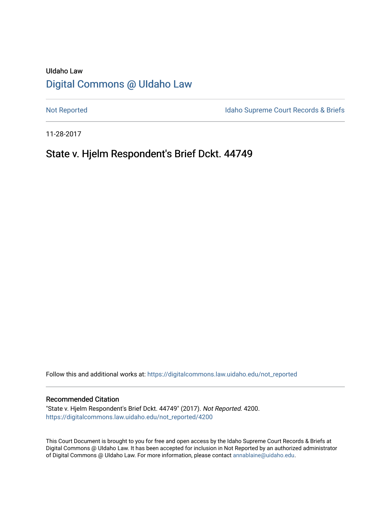# UIdaho Law [Digital Commons @ UIdaho Law](https://digitalcommons.law.uidaho.edu/)

[Not Reported](https://digitalcommons.law.uidaho.edu/not_reported) **Idaho Supreme Court Records & Briefs** 

11-28-2017

# State v. Hjelm Respondent's Brief Dckt. 44749

Follow this and additional works at: [https://digitalcommons.law.uidaho.edu/not\\_reported](https://digitalcommons.law.uidaho.edu/not_reported?utm_source=digitalcommons.law.uidaho.edu%2Fnot_reported%2F4200&utm_medium=PDF&utm_campaign=PDFCoverPages) 

### Recommended Citation

"State v. Hjelm Respondent's Brief Dckt. 44749" (2017). Not Reported. 4200. [https://digitalcommons.law.uidaho.edu/not\\_reported/4200](https://digitalcommons.law.uidaho.edu/not_reported/4200?utm_source=digitalcommons.law.uidaho.edu%2Fnot_reported%2F4200&utm_medium=PDF&utm_campaign=PDFCoverPages)

This Court Document is brought to you for free and open access by the Idaho Supreme Court Records & Briefs at Digital Commons @ UIdaho Law. It has been accepted for inclusion in Not Reported by an authorized administrator of Digital Commons @ UIdaho Law. For more information, please contact [annablaine@uidaho.edu](mailto:annablaine@uidaho.edu).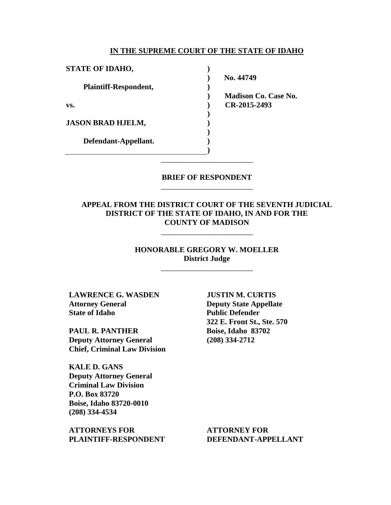#### **IN THE SUPREME COURT OF THE STATE OF IDAHO**

**) ) ) ) ) ) ) ) ) )**

**STATE OF IDAHO,**

**Plaintiff-Respondent,**

**vs.** 

**JASON BRAD HJELM,** 

**Defendant-Appellant.** 

**No. 44749** 

**Madison Co. Case No. CR-2015-2493** 

## **BRIEF OF RESPONDENT** \_\_\_\_\_\_\_\_\_\_\_\_\_\_\_\_\_\_\_\_\_\_\_\_

\_\_\_\_\_\_\_\_\_\_\_\_\_\_\_\_\_\_\_\_\_\_\_\_

## **APPEAL FROM THE DISTRICT COURT OF THE SEVENTH JUDICIAL DISTRICT OF THE STATE OF IDAHO, IN AND FOR THE COUNTY OF MADISON**

## **HONORABLE GREGORY W. MOELLER District Judge**

\_\_\_\_\_\_\_\_\_\_\_\_\_\_\_\_\_\_\_\_\_\_\_\_

\_\_\_\_\_\_\_\_\_\_\_\_\_\_\_\_\_\_\_\_\_\_\_\_

**LAWRENCE G. WASDEN Attorney General State of Idaho** 

**PAUL R. PANTHER Deputy Attorney General Chief, Criminal Law Division**

**KALE D. GANS Deputy Attorney General Criminal Law Division P.O. Box 83720 Boise, Idaho 83720-0010 (208) 334-4534** 

**ATTORNEYS FOR PLAINTIFF-RESPONDENT** **JUSTIN M. CURTIS Deputy State Appellate Public Defender 322 E. Front St., Ste. 570 Boise, Idaho 83702 (208) 334-2712** 

**ATTORNEY FOR DEFENDANT-APPELLANT**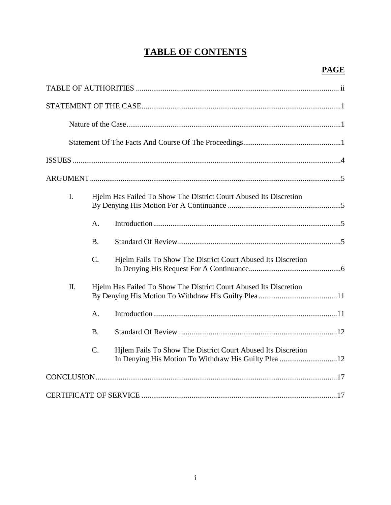# **TABLE OF CONTENTS**

| L. | Hjelm Has Failed To Show The District Court Abused Its Discretion |                                                                                                                      |  |  |
|----|-------------------------------------------------------------------|----------------------------------------------------------------------------------------------------------------------|--|--|
|    | A.                                                                |                                                                                                                      |  |  |
|    | <b>B.</b>                                                         |                                                                                                                      |  |  |
|    | C.                                                                | Hjelm Fails To Show The District Court Abused Its Discretion                                                         |  |  |
| Π. |                                                                   | Hjelm Has Failed To Show The District Court Abused Its Discretion                                                    |  |  |
|    | A.                                                                |                                                                                                                      |  |  |
|    | <b>B.</b>                                                         |                                                                                                                      |  |  |
|    | $\mathcal{C}$ .                                                   | Hilem Fails To Show The District Court Abused Its Discretion<br>In Denying His Motion To Withdraw His Guilty Plea 12 |  |  |
|    |                                                                   |                                                                                                                      |  |  |
|    |                                                                   |                                                                                                                      |  |  |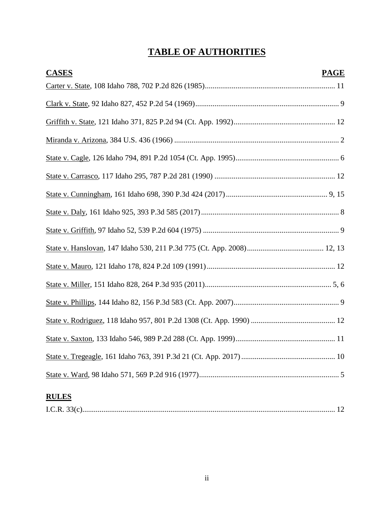# **TABLE OF AUTHORITIES**

| <b>CASES</b> | <b>PAGE</b> |
|--------------|-------------|
|              |             |
|              |             |
|              |             |
|              |             |
|              |             |
|              |             |
|              |             |
|              |             |
|              |             |
|              |             |
|              |             |
|              |             |
|              |             |
|              |             |
|              |             |
|              |             |
|              |             |
| <b>RULES</b> |             |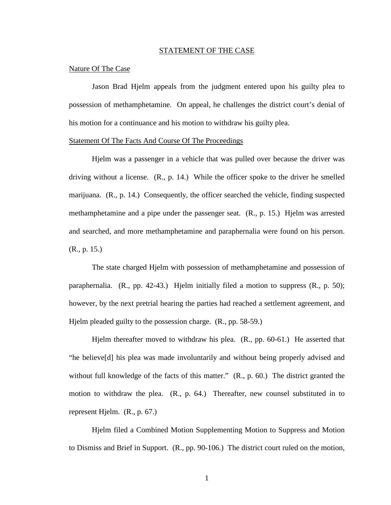#### STATEMENT OF THE CASE

#### Nature Of The Case

Jason Brad Hjelm appeals from the judgment entered upon his guilty plea to possession of methamphetamine. On appeal, he challenges the district court's denial of his motion for a continuance and his motion to withdraw his guilty plea.

#### Statement Of The Facts And Course Of The Proceedings

Hjelm was a passenger in a vehicle that was pulled over because the driver was driving without a license. (R., p. 14.) While the officer spoke to the driver he smelled marijuana. (R., p. 14.) Consequently, the officer searched the vehicle, finding suspected methamphetamine and a pipe under the passenger seat. (R., p. 15.) Hjelm was arrested and searched, and more methamphetamine and paraphernalia were found on his person. (R., p. 15.)

The state charged Hjelm with possession of methamphetamine and possession of paraphernalia.  $(R_1, pp. 42-43.)$  Hjelm initially filed a motion to suppress  $(R_1, p. 50)$ ; however, by the next pretrial hearing the parties had reached a settlement agreement, and Hjelm pleaded guilty to the possession charge. (R., pp. 58-59.)

Hjelm thereafter moved to withdraw his plea. (R., pp. 60-61.) He asserted that "he believe[d] his plea was made involuntarily and without being properly advised and without full knowledge of the facts of this matter." (R., p. 60.) The district granted the motion to withdraw the plea. (R., p. 64.) Thereafter, new counsel substituted in to represent Hjelm. (R., p. 67.)

Hjelm filed a Combined Motion Supplementing Motion to Suppress and Motion to Dismiss and Brief in Support. (R., pp. 90-106.) The district court ruled on the motion,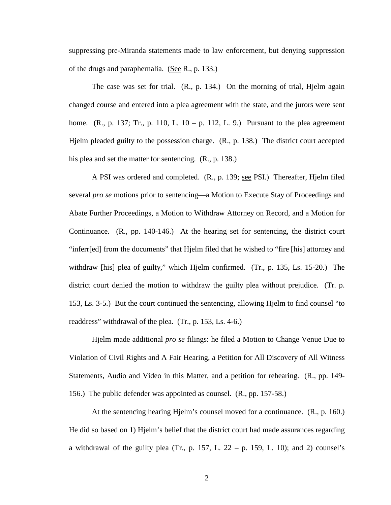suppressing pre-Miranda statements made to law enforcement, but denying suppression of the drugs and paraphernalia. (See R., p. 133.)

The case was set for trial. (R., p. 134.) On the morning of trial, Hjelm again changed course and entered into a plea agreement with the state, and the jurors were sent home. (R., p. 137; Tr., p. 110, L. 10 – p. 112, L. 9.) Pursuant to the plea agreement Hjelm pleaded guilty to the possession charge. (R., p. 138.) The district court accepted his plea and set the matter for sentencing.  $(R., p. 138.)$ 

A PSI was ordered and completed. (R., p. 139; see PSI.) Thereafter, Hjelm filed several *pro se* motions prior to sentencing—a Motion to Execute Stay of Proceedings and Abate Further Proceedings, a Motion to Withdraw Attorney on Record, and a Motion for Continuance. (R., pp. 140-146.) At the hearing set for sentencing, the district court "inferr[ed] from the documents" that Hjelm filed that he wished to "fire [his] attorney and withdraw [his] plea of guilty," which Hjelm confirmed. (Tr., p. 135, Ls. 15-20.) The district court denied the motion to withdraw the guilty plea without prejudice. (Tr. p. 153, Ls. 3-5.) But the court continued the sentencing, allowing Hjelm to find counsel "to readdress" withdrawal of the plea. (Tr., p. 153, Ls. 4-6.)

Hjelm made additional *pro se* filings: he filed a Motion to Change Venue Due to Violation of Civil Rights and A Fair Hearing, a Petition for All Discovery of All Witness Statements, Audio and Video in this Matter, and a petition for rehearing. (R., pp. 149- 156.) The public defender was appointed as counsel. (R., pp. 157-58.)

At the sentencing hearing Hjelm's counsel moved for a continuance. (R., p. 160.) He did so based on 1) Hjelm's belief that the district court had made assurances regarding a withdrawal of the guilty plea (Tr., p. 157, L.  $22 - p$ . 159, L. 10); and 2) counsel's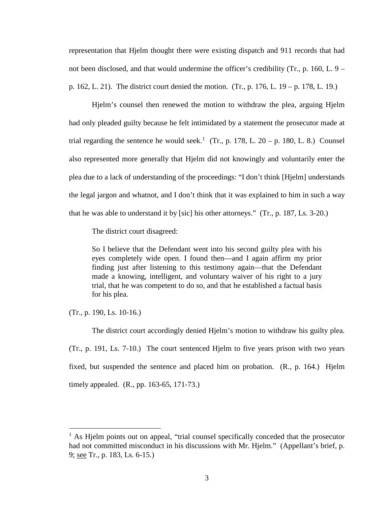representation that Hjelm thought there were existing dispatch and 911 records that had not been disclosed, and that would undermine the officer's credibility (Tr., p. 160, L. 9 – p. 162, L. 21). The district court denied the motion. (Tr., p. 176, L. 19 – p. 178, L. 19.)

Hjelm's counsel then renewed the motion to withdraw the plea, arguing Hjelm had only pleaded guilty because he felt intimidated by a statement the prosecutor made at trial regarding the sentence he would seek.<sup>[1](#page-6-0)</sup> (Tr., p. 178, L. 20 – p. 180, L. 8.) Counsel also represented more generally that Hjelm did not knowingly and voluntarily enter the plea due to a lack of understanding of the proceedings: "I don't think [Hjelm] understands the legal jargon and whatnot, and I don't think that it was explained to him in such a way that he was able to understand it by [sic] his other attorneys." (Tr., p. 187, Ls. 3-20.)

The district court disagreed:

So I believe that the Defendant went into his second guilty plea with his eyes completely wide open. I found then—and I again affirm my prior finding just after listening to this testimony again—that the Defendant made a knowing, intelligent, and voluntary waiver of his right to a jury trial, that he was competent to do so, and that he established a factual basis for his plea.

(Tr., p. 190, Ls. 10-16.)

 $\overline{a}$ 

The district court accordingly denied Hjelm's motion to withdraw his guilty plea. (Tr., p. 191, Ls. 7-10.) The court sentenced Hjelm to five years prison with two years fixed, but suspended the sentence and placed him on probation. (R., p. 164.) Hjelm timely appealed. (R., pp. 163-65, 171-73.)

<span id="page-6-0"></span> $<sup>1</sup>$  As Hielm points out on appeal, "trial counsel specifically conceded that the prosecutor</sup> had not committed misconduct in his discussions with Mr. Hjelm." (Appellant's brief, p. 9; see Tr., p. 183, Ls. 6-15.)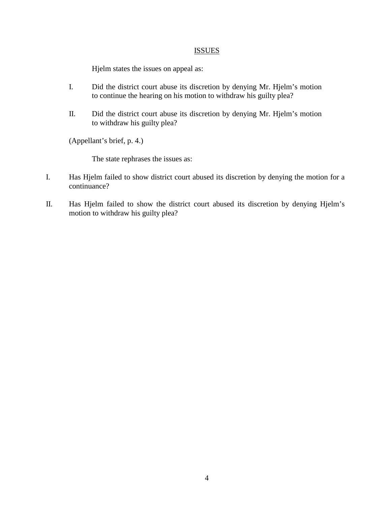## **ISSUES**

Hjelm states the issues on appeal as:

- I. Did the district court abuse its discretion by denying Mr. Hjelm's motion to continue the hearing on his motion to withdraw his guilty plea?
- II. Did the district court abuse its discretion by denying Mr. Hjelm's motion to withdraw his guilty plea?

(Appellant's brief, p. 4.)

The state rephrases the issues as:

- I. Has Hjelm failed to show district court abused its discretion by denying the motion for a continuance?
- II. Has Hjelm failed to show the district court abused its discretion by denying Hjelm's motion to withdraw his guilty plea?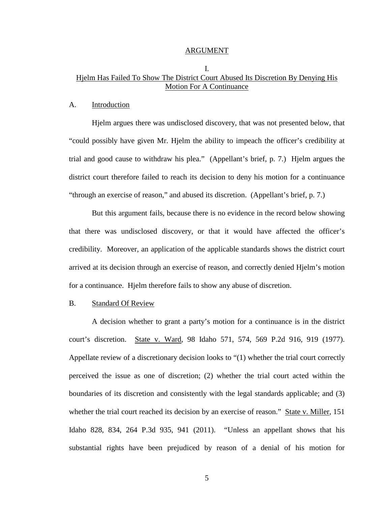#### ARGUMENT

## I. Hjelm Has Failed To Show The District Court Abused Its Discretion By Denying His Motion For A Continuance

#### A. Introduction

Hjelm argues there was undisclosed discovery, that was not presented below, that "could possibly have given Mr. Hjelm the ability to impeach the officer's credibility at trial and good cause to withdraw his plea." (Appellant's brief, p. 7.) Hjelm argues the district court therefore failed to reach its decision to deny his motion for a continuance "through an exercise of reason," and abused its discretion. (Appellant's brief, p. 7.)

But this argument fails, because there is no evidence in the record below showing that there was undisclosed discovery, or that it would have affected the officer's credibility. Moreover, an application of the applicable standards shows the district court arrived at its decision through an exercise of reason, and correctly denied Hjelm's motion for a continuance. Hjelm therefore fails to show any abuse of discretion.

### B. Standard Of Review

A decision whether to grant a party's motion for a continuance is in the district court's discretion. State v. Ward, 98 Idaho 571, 574, 569 P.2d 916, 919 (1977). Appellate review of a discretionary decision looks to "(1) whether the trial court correctly perceived the issue as one of discretion; (2) whether the trial court acted within the boundaries of its discretion and consistently with the legal standards applicable; and (3) whether the trial court reached its decision by an exercise of reason." State v. Miller, 151 Idaho 828, 834, 264 P.3d 935, 941 (2011). "Unless an appellant shows that his substantial rights have been prejudiced by reason of a denial of his motion for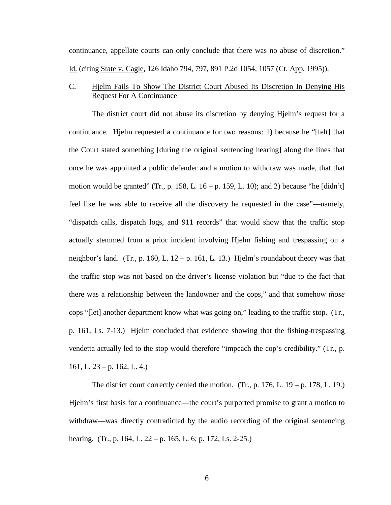continuance, appellate courts can only conclude that there was no abuse of discretion." Id. (citing State v. Cagle, 126 Idaho 794, 797, 891 P.2d 1054, 1057 (Ct. App. 1995)).

## C. Hjelm Fails To Show The District Court Abused Its Discretion In Denying His Request For A Continuance

The district court did not abuse its discretion by denying Hjelm's request for a continuance. Hjelm requested a continuance for two reasons: 1) because he "[felt] that the Court stated something [during the original sentencing hearing] along the lines that once he was appointed a public defender and a motion to withdraw was made, that that motion would be granted" (Tr., p. 158, L.  $16 - p$ . 159, L. 10); and 2) because "he [didn't] feel like he was able to receive all the discovery he requested in the case"—namely, "dispatch calls, dispatch logs, and 911 records" that would show that the traffic stop actually stemmed from a prior incident involving Hjelm fishing and trespassing on a neighbor's land. (Tr., p. 160, L. 12 – p. 161, L. 13.) Hjelm's roundabout theory was that the traffic stop was not based on the driver's license violation but "due to the fact that there was a relationship between the landowner and the cops," and that somehow *those* cops "[let] another department know what was going on," leading to the traffic stop. (Tr., p. 161, Ls. 7-13.) Hjelm concluded that evidence showing that the fishing-trespassing vendetta actually led to the stop would therefore "impeach the cop's credibility." (Tr., p. 161, L.  $23 - p. 162$ , L. 4.)

The district court correctly denied the motion. (Tr., p. 176, L. 19 – p. 178, L. 19.) Hjelm's first basis for a continuance—the court's purported promise to grant a motion to withdraw—was directly contradicted by the audio recording of the original sentencing hearing. (Tr., p. 164, L. 22 – p. 165, L. 6; p. 172, Ls. 2-25.)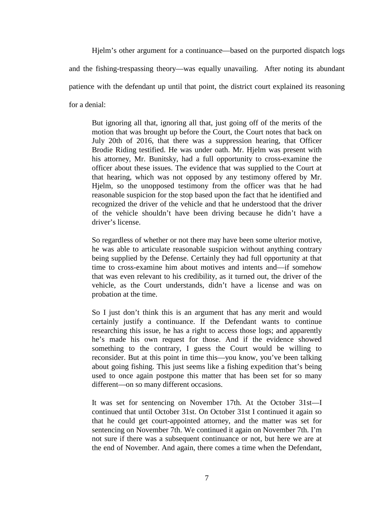Hjelm's other argument for a continuance—based on the purported dispatch logs and the fishing-trespassing theory—was equally unavailing. After noting its abundant patience with the defendant up until that point, the district court explained its reasoning for a denial:

But ignoring all that, ignoring all that, just going off of the merits of the motion that was brought up before the Court, the Court notes that back on July 20th of 2016, that there was a suppression hearing, that Officer Brodie Riding testified. He was under oath. Mr. Hjelm was present with his attorney, Mr. Bunitsky, had a full opportunity to cross-examine the officer about these issues. The evidence that was supplied to the Court at that hearing, which was not opposed by any testimony offered by Mr. Hjelm, so the unopposed testimony from the officer was that he had reasonable suspicion for the stop based upon the fact that he identified and recognized the driver of the vehicle and that he understood that the driver of the vehicle shouldn't have been driving because he didn't have a driver's license.

So regardless of whether or not there may have been some ulterior motive, he was able to articulate reasonable suspicion without anything contrary being supplied by the Defense. Certainly they had full opportunity at that time to cross-examine him about motives and intents and—if somehow that was even relevant to his credibility, as it turned out, the driver of the vehicle, as the Court understands, didn't have a license and was on probation at the time.

So I just don't think this is an argument that has any merit and would certainly justify a continuance. If the Defendant wants to continue researching this issue, he has a right to access those logs; and apparently he's made his own request for those. And if the evidence showed something to the contrary, I guess the Court would be willing to reconsider. But at this point in time this—you know, you've been talking about going fishing. This just seems like a fishing expedition that's being used to once again postpone this matter that has been set for so many different—on so many different occasions.

It was set for sentencing on November 17th. At the October 31st—I continued that until October 31st. On October 31st I continued it again so that he could get court-appointed attorney, and the matter was set for sentencing on November 7th. We continued it again on November 7th. I'm not sure if there was a subsequent continuance or not, but here we are at the end of November. And again, there comes a time when the Defendant,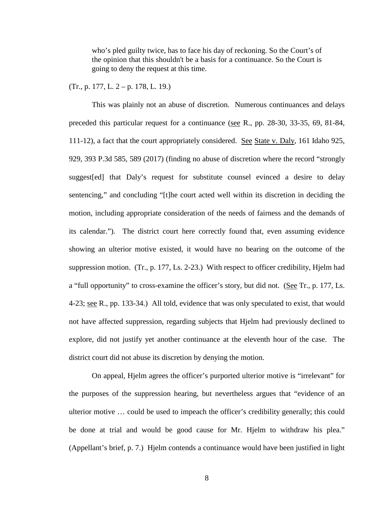who's pled guilty twice, has to face his day of reckoning. So the Court's of the opinion that this shouldn't be a basis for a continuance. So the Court is going to deny the request at this time.

#### (Tr., p. 177, L. 2 – p. 178, L. 19.)

This was plainly not an abuse of discretion. Numerous continuances and delays preceded this particular request for a continuance (see R., pp. 28-30, 33-35, 69, 81-84, 111-12), a fact that the court appropriately considered. See State v. Daly, 161 Idaho 925, 929, 393 P.3d 585, 589 (2017) (finding no abuse of discretion where the record "strongly suggest[ed] that Daly's request for substitute counsel evinced a desire to delay sentencing," and concluding "[t]he court acted well within its discretion in deciding the motion, including appropriate consideration of the needs of fairness and the demands of its calendar."). The district court here correctly found that, even assuming evidence showing an ulterior motive existed, it would have no bearing on the outcome of the suppression motion. (Tr., p. 177, Ls. 2-23.) With respect to officer credibility, Hjelm had a "full opportunity" to cross-examine the officer's story, but did not. (See Tr., p. 177, Ls. 4-23; see R., pp. 133-34.) All told, evidence that was only speculated to exist, that would not have affected suppression, regarding subjects that Hjelm had previously declined to explore, did not justify yet another continuance at the eleventh hour of the case. The district court did not abuse its discretion by denying the motion.

On appeal, Hjelm agrees the officer's purported ulterior motive is "irrelevant" for the purposes of the suppression hearing, but nevertheless argues that "evidence of an ulterior motive … could be used to impeach the officer's credibility generally; this could be done at trial and would be good cause for Mr. Hjelm to withdraw his plea." (Appellant's brief, p. 7.) Hjelm contends a continuance would have been justified in light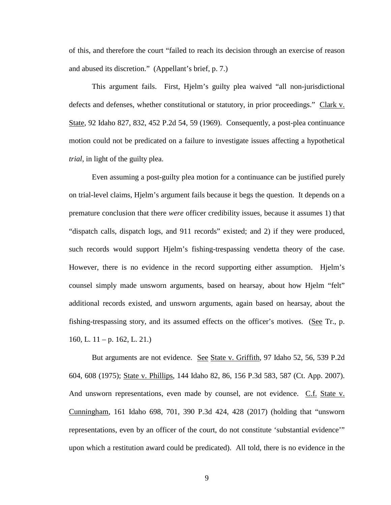of this, and therefore the court "failed to reach its decision through an exercise of reason and abused its discretion." (Appellant's brief, p. 7.)

This argument fails. First, Hjelm's guilty plea waived "all non-jurisdictional defects and defenses, whether constitutional or statutory, in prior proceedings." Clark v. State, 92 Idaho 827, 832, 452 P.2d 54, 59 (1969). Consequently, a post-plea continuance motion could not be predicated on a failure to investigate issues affecting a hypothetical *trial*, in light of the guilty plea.

Even assuming a post-guilty plea motion for a continuance can be justified purely on trial-level claims, Hjelm's argument fails because it begs the question. It depends on a premature conclusion that there *were* officer credibility issues, because it assumes 1) that "dispatch calls, dispatch logs, and 911 records" existed; and 2) if they were produced, such records would support Hjelm's fishing-trespassing vendetta theory of the case. However, there is no evidence in the record supporting either assumption. Hjelm's counsel simply made unsworn arguments, based on hearsay, about how Hjelm "felt" additional records existed, and unsworn arguments, again based on hearsay, about the fishing-trespassing story, and its assumed effects on the officer's motives. (See Tr., p. 160, L.  $11 - p$ . 162, L. 21.)

But arguments are not evidence. See State v. Griffith, 97 Idaho 52, 56, 539 P.2d 604, 608 (1975); State v. Phillips, 144 Idaho 82, 86, 156 P.3d 583, 587 (Ct. App. 2007). And unsworn representations, even made by counsel, are not evidence. C.f. State v. Cunningham, 161 Idaho 698, 701, 390 P.3d 424, 428 (2017) (holding that "unsworn representations, even by an officer of the court, do not constitute 'substantial evidence'" upon which a restitution award could be predicated). All told, there is no evidence in the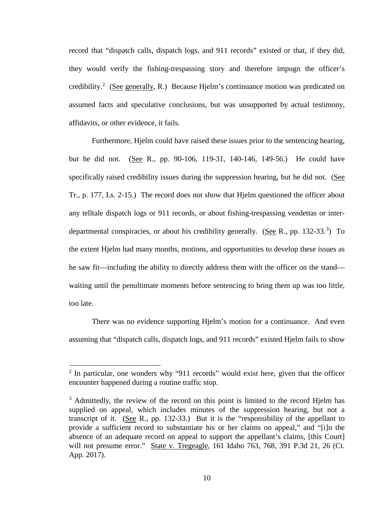record that "dispatch calls, dispatch logs, and 911 records" existed or that, if they did, they would verify the fishing-trespassing story and therefore impugn the officer's credibility.<sup>[2](#page-13-0)</sup> (See generally, R.) Because Hjelm's continuance motion was predicated on assumed facts and speculative conclusions, but was unsupported by actual testimony, affidavits, or other evidence, it fails.

Furthermore, Hjelm could have raised these issues prior to the sentencing hearing, but he did not. (See R., pp. 90-106, 119-31, 140-146, 149-56.) He could have specifically raised credibility issues during the suppression hearing, but he did not. (See Tr., p. 177, Ls. 2-15.) The record does not show that Hjelm questioned the officer about any telltale dispatch logs or 911 records, or about fishing-trespassing vendettas or inter-departmental conspiracies, or about his credibility generally. (See R., pp. 1[3](#page-13-1)2-33.<sup>3</sup>) To the extent Hjelm had many months, motions, and opportunities to develop these issues as he saw fit—including the ability to directly address them with the officer on the stand waiting until the penultimate moments before sentencing to bring them up was too little, too late.

There was no evidence supporting Hjelm's motion for a continuance. And even assuming that "dispatch calls, dispatch logs, and 911 records" existed Hjelm fails to show

 $\overline{a}$ 

<span id="page-13-0"></span> $2$  In particular, one wonders why "911 records" would exist here, given that the officer encounter happened during a routine traffic stop.

<span id="page-13-1"></span><sup>&</sup>lt;sup>3</sup> Admittedly, the review of the record on this point is limited to the record Hjelm has supplied on appeal, which includes minutes of the suppression hearing, but not a transcript of it. (See R., pp. 132-33.) But it is the "responsibility of the appellant to provide a sufficient record to substantiate his or her claims on appeal," and "[i]n the absence of an adequate record on appeal to support the appellant's claims, [this Court] will not presume error." State v. Tregeagle, 161 Idaho 763, 768, 391 P.3d 21, 26 (Ct. App. 2017).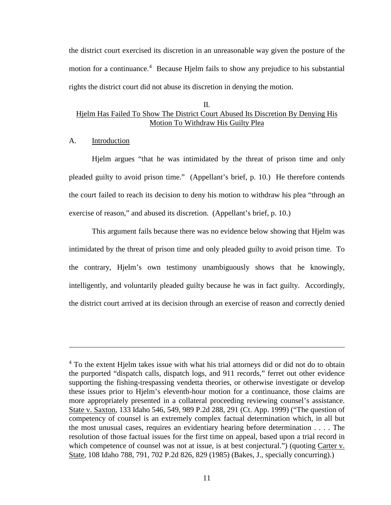the district court exercised its discretion in an unreasonable way given the posture of the motion for a continuance.<sup>[4](#page-14-0)</sup> Because Hjelm fails to show any prejudice to his substantial rights the district court did not abuse its discretion in denying the motion.

## II. Hjelm Has Failed To Show The District Court Abused Its Discretion By Denying His Motion To Withdraw His Guilty Plea

### A. Introduction

 $\overline{a}$ 

Hjelm argues "that he was intimidated by the threat of prison time and only pleaded guilty to avoid prison time." (Appellant's brief, p. 10.) He therefore contends the court failed to reach its decision to deny his motion to withdraw his plea "through an exercise of reason," and abused its discretion. (Appellant's brief, p. 10.)

This argument fails because there was no evidence below showing that Hjelm was intimidated by the threat of prison time and only pleaded guilty to avoid prison time. To the contrary, Hjelm's own testimony unambiguously shows that he knowingly, intelligently, and voluntarily pleaded guilty because he was in fact guilty. Accordingly, the district court arrived at its decision through an exercise of reason and correctly denied

<span id="page-14-0"></span><sup>&</sup>lt;sup>4</sup> To the extent Hjelm takes issue with what his trial attorneys did or did not do to obtain the purported "dispatch calls, dispatch logs, and 911 records," ferret out other evidence supporting the fishing-trespassing vendetta theories, or otherwise investigate or develop these issues prior to Hjelm's eleventh-hour motion for a continuance, those claims are more appropriately presented in a collateral proceeding reviewing counsel's assistance. State v. Saxton, 133 Idaho 546, 549, 989 P.2d 288, 291 (Ct. App. 1999) ("The question of competency of counsel is an extremely complex factual determination which, in all but the most unusual cases, requires an evidentiary hearing before determination . . . . The resolution of those factual issues for the first time on appeal, based upon a trial record in which competence of counsel was not at issue, is at best conjectural.") (quoting Carter v. State, 108 Idaho 788, 791, 702 P.2d 826, 829 (1985) (Bakes, J., specially concurring).)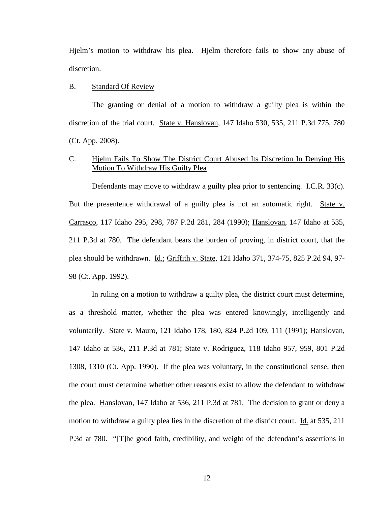Hjelm's motion to withdraw his plea. Hjelm therefore fails to show any abuse of discretion.

#### B. Standard Of Review

The granting or denial of a motion to withdraw a guilty plea is within the discretion of the trial court. State v. Hanslovan, 147 Idaho 530, 535, 211 P.3d 775, 780 (Ct. App. 2008).

## C. Hjelm Fails To Show The District Court Abused Its Discretion In Denying His Motion To Withdraw His Guilty Plea

Defendants may move to withdraw a guilty plea prior to sentencing. I.C.R. 33(c). But the presentence withdrawal of a guilty plea is not an automatic right. State v. Carrasco, 117 Idaho 295, 298, 787 P.2d 281, 284 (1990); Hanslovan, 147 Idaho at 535, 211 P.3d at 780. The defendant bears the burden of proving, in district court, that the plea should be withdrawn. Id.; Griffith v. State, 121 Idaho 371, 374-75, 825 P.2d 94, 97- 98 (Ct. App. 1992).

In ruling on a motion to withdraw a guilty plea, the district court must determine, as a threshold matter, whether the plea was entered knowingly, intelligently and voluntarily. State v. Mauro, 121 Idaho 178, 180, 824 P.2d 109, 111 (1991); Hanslovan, 147 Idaho at 536, 211 P.3d at 781; State v. Rodriguez, 118 Idaho 957, 959, 801 P.2d 1308, 1310 (Ct. App. 1990). If the plea was voluntary, in the constitutional sense, then the court must determine whether other reasons exist to allow the defendant to withdraw the plea. Hanslovan, 147 Idaho at 536, 211 P.3d at 781. The decision to grant or deny a motion to withdraw a guilty plea lies in the discretion of the district court. Id. at 535, 211 P.3d at 780. "[T]he good faith, credibility, and weight of the defendant's assertions in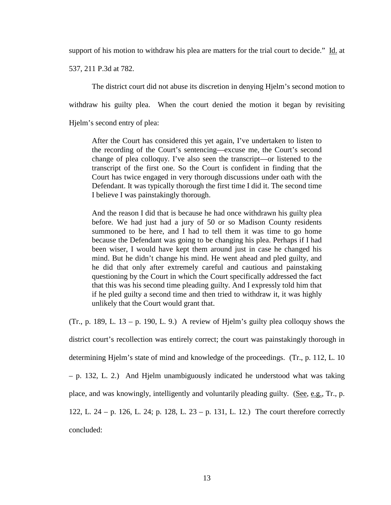support of his motion to withdraw his plea are matters for the trial court to decide." Id. at

537, 211 P.3d at 782.

The district court did not abuse its discretion in denying Hjelm's second motion to withdraw his guilty plea. When the court denied the motion it began by revisiting Hjelm's second entry of plea:

After the Court has considered this yet again, I've undertaken to listen to the recording of the Court's sentencing—excuse me, the Court's second change of plea colloquy. I've also seen the transcript—or listened to the transcript of the first one. So the Court is confident in finding that the Court has twice engaged in very thorough discussions under oath with the Defendant. It was typically thorough the first time I did it. The second time I believe I was painstakingly thorough.

And the reason I did that is because he had once withdrawn his guilty plea before. We had just had a jury of 50 or so Madison County residents summoned to be here, and I had to tell them it was time to go home because the Defendant was going to be changing his plea. Perhaps if I had been wiser, I would have kept them around just in case he changed his mind. But he didn't change his mind. He went ahead and pled guilty, and he did that only after extremely careful and cautious and painstaking questioning by the Court in which the Court specifically addressed the fact that this was his second time pleading guilty. And I expressly told him that if he pled guilty a second time and then tried to withdraw it, it was highly unlikely that the Court would grant that.

(Tr., p. 189, L. 13 – p. 190, L. 9.) A review of Hjelm's guilty plea colloquy shows the

district court's recollection was entirely correct; the court was painstakingly thorough in determining Hjelm's state of mind and knowledge of the proceedings. (Tr., p. 112, L. 10 – p. 132, L. 2.) And Hjelm unambiguously indicated he understood what was taking place, and was knowingly, intelligently and voluntarily pleading guilty. (See, e.g., Tr., p. 122, L. 24 – p. 126, L. 24; p. 128, L. 23 – p. 131, L. 12.) The court therefore correctly concluded: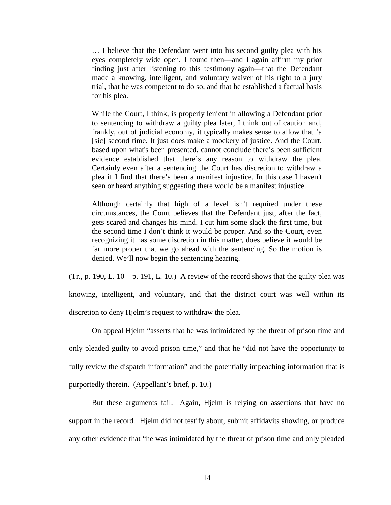… I believe that the Defendant went into his second guilty plea with his eyes completely wide open. I found then—and I again affirm my prior finding just after listening to this testimony again—that the Defendant made a knowing, intelligent, and voluntary waiver of his right to a jury trial, that he was competent to do so, and that he established a factual basis for his plea.

While the Court, I think, is properly lenient in allowing a Defendant prior to sentencing to withdraw a guilty plea later, I think out of caution and, frankly, out of judicial economy, it typically makes sense to allow that 'a [sic] second time. It just does make a mockery of justice. And the Court, based upon what's been presented, cannot conclude there's been sufficient evidence established that there's any reason to withdraw the plea. Certainly even after a sentencing the Court has discretion to withdraw a plea if I find that there's been a manifest injustice. In this case I haven't seen or heard anything suggesting there would be a manifest injustice.

Although certainly that high of a level isn't required under these circumstances, the Court believes that the Defendant just, after the fact, gets scared and changes his mind. I cut him some slack the first time, but the second time I don't think it would be proper. And so the Court, even recognizing it has some discretion in this matter, does believe it would be far more proper that we go ahead with the sentencing. So the motion is denied. We'll now begin the sentencing hearing.

(Tr., p. 190, L.  $10 - p$ . 191, L. 10.) A review of the record shows that the guilty plea was

knowing, intelligent, and voluntary, and that the district court was well within its discretion to deny Hjelm's request to withdraw the plea.

On appeal Hjelm "asserts that he was intimidated by the threat of prison time and only pleaded guilty to avoid prison time," and that he "did not have the opportunity to fully review the dispatch information" and the potentially impeaching information that is purportedly therein. (Appellant's brief, p. 10.)

But these arguments fail. Again, Hjelm is relying on assertions that have no support in the record. Hjelm did not testify about, submit affidavits showing, or produce any other evidence that "he was intimidated by the threat of prison time and only pleaded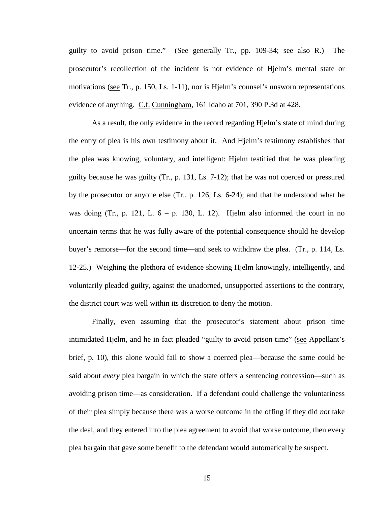guilty to avoid prison time." (See generally Tr., pp. 109-34; see also R.) The prosecutor's recollection of the incident is not evidence of Hjelm's mental state or motivations (see Tr., p. 150, Ls. 1-11), nor is Hjelm's counsel's unsworn representations evidence of anything. C.f. Cunningham, 161 Idaho at 701, 390 P.3d at 428.

As a result, the only evidence in the record regarding Hjelm's state of mind during the entry of plea is his own testimony about it. And Hjelm's testimony establishes that the plea was knowing, voluntary, and intelligent: Hjelm testified that he was pleading guilty because he was guilty (Tr., p. 131, Ls. 7-12); that he was not coerced or pressured by the prosecutor or anyone else (Tr., p. 126, Ls. 6-24); and that he understood what he was doing (Tr., p. 121, L.  $6 - p$ . 130, L. 12). Hjelm also informed the court in no uncertain terms that he was fully aware of the potential consequence should he develop buyer's remorse—for the second time—and seek to withdraw the plea. (Tr., p. 114, Ls. 12-25.) Weighing the plethora of evidence showing Hjelm knowingly, intelligently, and voluntarily pleaded guilty, against the unadorned, unsupported assertions to the contrary, the district court was well within its discretion to deny the motion.

Finally, even assuming that the prosecutor's statement about prison time intimidated Hjelm, and he in fact pleaded "guilty to avoid prison time" (see Appellant's brief, p. 10), this alone would fail to show a coerced plea—because the same could be said about *every* plea bargain in which the state offers a sentencing concession—such as avoiding prison time—as consideration. If a defendant could challenge the voluntariness of their plea simply because there was a worse outcome in the offing if they did *not* take the deal, and they entered into the plea agreement to avoid that worse outcome, then every plea bargain that gave some benefit to the defendant would automatically be suspect.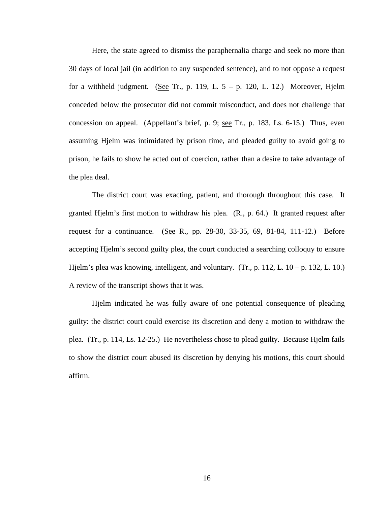Here, the state agreed to dismiss the paraphernalia charge and seek no more than 30 days of local jail (in addition to any suspended sentence), and to not oppose a request for a withheld judgment. (See Tr., p. 119, L.  $5 - p$ . 120, L. 12.) Moreover, Hjelm conceded below the prosecutor did not commit misconduct, and does not challenge that concession on appeal. (Appellant's brief, p. 9; see Tr., p. 183, Ls. 6-15.) Thus, even assuming Hjelm was intimidated by prison time, and pleaded guilty to avoid going to prison, he fails to show he acted out of coercion, rather than a desire to take advantage of the plea deal.

The district court was exacting, patient, and thorough throughout this case. It granted Hjelm's first motion to withdraw his plea. (R., p. 64.) It granted request after request for a continuance. (See R., pp. 28-30, 33-35, 69, 81-84, 111-12.) Before accepting Hjelm's second guilty plea, the court conducted a searching colloquy to ensure Hjelm's plea was knowing, intelligent, and voluntary. (Tr., p. 112, L.  $10 - p$ . 132, L. 10.) A review of the transcript shows that it was.

Hjelm indicated he was fully aware of one potential consequence of pleading guilty: the district court could exercise its discretion and deny a motion to withdraw the plea. (Tr., p. 114, Ls. 12-25.) He nevertheless chose to plead guilty. Because Hjelm fails to show the district court abused its discretion by denying his motions, this court should affirm.